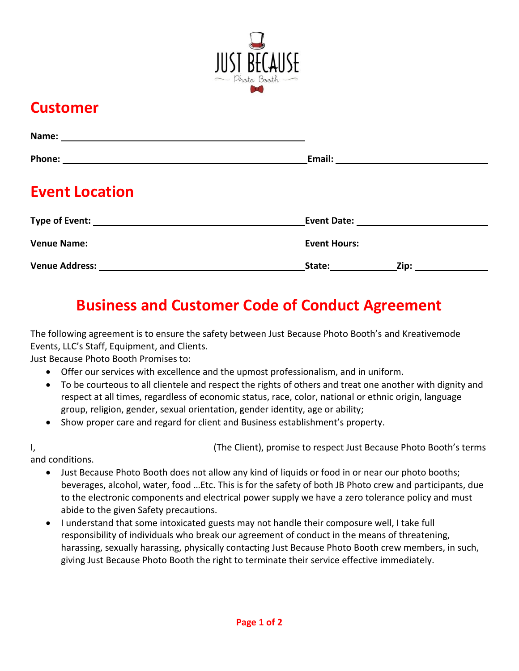

## **Customer**

| <b>Event Location</b>                                         |        |                    |
|---------------------------------------------------------------|--------|--------------------|
| Type of Event: National Contract of Events And Type of Events |        |                    |
|                                                               |        |                    |
|                                                               | State: | Zip: _____________ |

## **Business and Customer Code of Conduct Agreement**

The following agreement is to ensure the safety between Just Because Photo Booth's and Kreativemode Events, LLC's Staff, Equipment, and Clients.

Just Because Photo Booth Promises to:

- Offer our services with excellence and the upmost professionalism, and in uniform.
- To be courteous to all clientele and respect the rights of others and treat one another with dignity and respect at all times, regardless of economic status, race, color, national or ethnic origin, language group, religion, gender, sexual orientation, gender identity, age or ability;
- Show proper care and regard for client and Business establishment's property.

I, 1. 2008 1. (The Client), promise to respect Just Because Photo Booth's terms

and conditions.

- Just Because Photo Booth does not allow any kind of liquids or food in or near our photo booths; beverages, alcohol, water, food …Etc. This is for the safety of both JB Photo crew and participants, due to the electronic components and electrical power supply we have a zero tolerance policy and must abide to the given Safety precautions.
- I understand that some intoxicated guests may not handle their composure well, I take full responsibility of individuals who break our agreement of conduct in the means of threatening, harassing, sexually harassing, physically contacting Just Because Photo Booth crew members, in such, giving Just Because Photo Booth the right to terminate their service effective immediately.